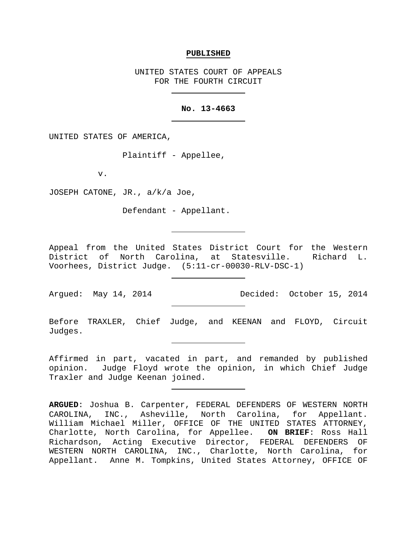#### **PUBLISHED**

UNITED STATES COURT OF APPEALS FOR THE FOURTH CIRCUIT

## **No. 13-4663**

UNITED STATES OF AMERICA,

Plaintiff - Appellee,

v.

JOSEPH CATONE, JR., a/k/a Joe,

Defendant - Appellant.

Appeal from the United States District Court for the Western District of North Carolina, at Statesville. Richard L. Voorhees, District Judge. (5:11-cr-00030-RLV-DSC-1)

Argued: May 14, 2014 Decided: October 15, 2014

Before TRAXLER, Chief Judge, and KEENAN and FLOYD, Circuit Judges.

Affirmed in part, vacated in part, and remanded by published opinion. Judge Floyd wrote the opinion, in which Chief Judge Traxler and Judge Keenan joined.

**ARGUED**: Joshua B. Carpenter, FEDERAL DEFENDERS OF WESTERN NORTH CAROLINA, INC., Asheville, North Carolina, for Appellant. William Michael Miller, OFFICE OF THE UNITED STATES ATTORNEY, Charlotte, North Carolina, for Appellee. **ON BRIEF**: Ross Hall Richardson, Acting Executive Director, FEDERAL DEFENDERS OF WESTERN NORTH CAROLINA, INC., Charlotte, North Carolina, for Appellant. Anne M. Tompkins, United States Attorney, OFFICE OF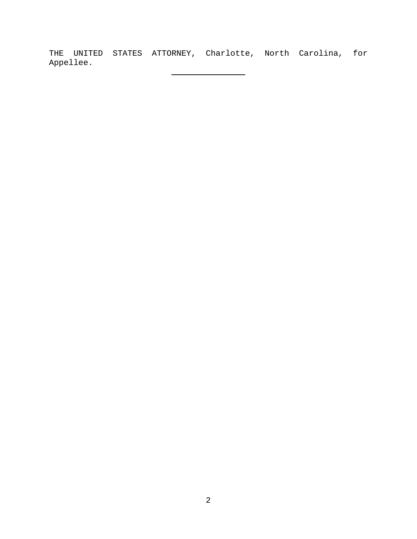THE UNITED STATES ATTORNEY, Charlotte, North Carolina, for Appellee.

 $\overline{\phantom{a}}$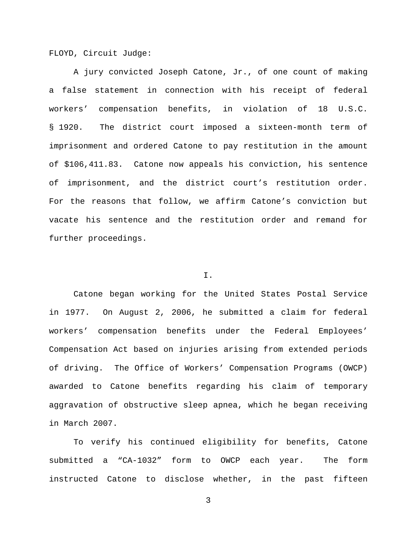FLOYD, Circuit Judge:

A jury convicted Joseph Catone, Jr., of one count of making a false statement in connection with his receipt of federal workers' compensation benefits, in violation of 18 U.S.C. § 1920. The district court imposed a sixteen-month term of imprisonment and ordered Catone to pay restitution in the amount of \$106,411.83. Catone now appeals his conviction, his sentence of imprisonment, and the district court's restitution order. For the reasons that follow, we affirm Catone's conviction but vacate his sentence and the restitution order and remand for further proceedings.

## I.

Catone began working for the United States Postal Service in 1977. On August 2, 2006, he submitted a claim for federal workers' compensation benefits under the Federal Employees' Compensation Act based on injuries arising from extended periods of driving. The Office of Workers' Compensation Programs (OWCP) awarded to Catone benefits regarding his claim of temporary aggravation of obstructive sleep apnea, which he began receiving in March 2007.

To verify his continued eligibility for benefits, Catone submitted a "CA-1032" form to OWCP each year. The form instructed Catone to disclose whether, in the past fifteen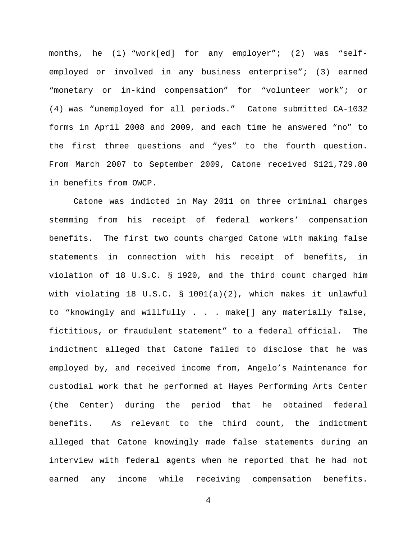months, he (1) "work[ed] for any employer"; (2) was "selfemployed or involved in any business enterprise"; (3) earned "monetary or in-kind compensation" for "volunteer work"; or (4) was "unemployed for all periods." Catone submitted CA-1032 forms in April 2008 and 2009, and each time he answered "no" to the first three questions and "yes" to the fourth question. From March 2007 to September 2009, Catone received \$121,729.80 in benefits from OWCP.

Catone was indicted in May 2011 on three criminal charges stemming from his receipt of federal workers' compensation benefits. The first two counts charged Catone with making false statements in connection with his receipt of benefits, in violation of 18 U.S.C. § 1920, and the third count charged him with violating 18 U.S.C. § 1001(a)(2), which makes it unlawful to "knowingly and willfully . . . make[] any materially false, fictitious, or fraudulent statement" to a federal official. The indictment alleged that Catone failed to disclose that he was employed by, and received income from, Angelo's Maintenance for custodial work that he performed at Hayes Performing Arts Center (the Center) during the period that he obtained federal benefits. As relevant to the third count, the indictment alleged that Catone knowingly made false statements during an interview with federal agents when he reported that he had not earned any income while receiving compensation benefits.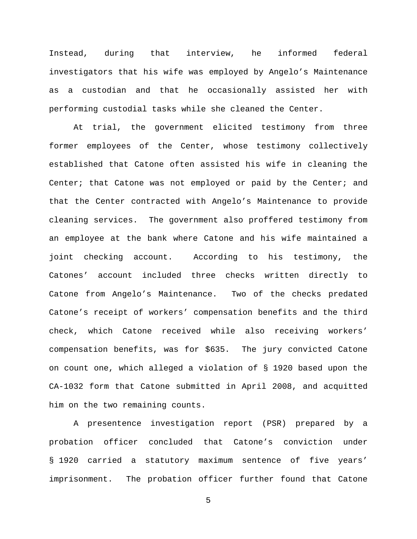Instead, during that interview, he informed federal investigators that his wife was employed by Angelo's Maintenance as a custodian and that he occasionally assisted her with performing custodial tasks while she cleaned the Center.

At trial, the government elicited testimony from three former employees of the Center, whose testimony collectively established that Catone often assisted his wife in cleaning the Center; that Catone was not employed or paid by the Center; and that the Center contracted with Angelo's Maintenance to provide cleaning services. The government also proffered testimony from an employee at the bank where Catone and his wife maintained a joint checking account. According to his testimony, the Catones' account included three checks written directly to Catone from Angelo's Maintenance. Two of the checks predated Catone's receipt of workers' compensation benefits and the third check, which Catone received while also receiving workers' compensation benefits, was for \$635. The jury convicted Catone on count one, which alleged a violation of § 1920 based upon the CA-1032 form that Catone submitted in April 2008, and acquitted him on the two remaining counts.

A presentence investigation report (PSR) prepared by a probation officer concluded that Catone's conviction under § 1920 carried a statutory maximum sentence of five years' imprisonment. The probation officer further found that Catone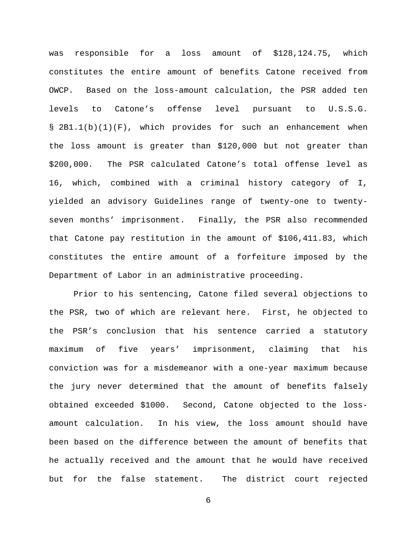was responsible for a loss amount of \$128,124.75, which constitutes the entire amount of benefits Catone received from OWCP. Based on the loss-amount calculation, the PSR added ten levels to Catone's offense level pursuant to U.S.S.G. § 2B1.1(b)(1)(F), which provides for such an enhancement when the loss amount is greater than \$120,000 but not greater than \$200,000. The PSR calculated Catone's total offense level as 16, which, combined with a criminal history category of I, yielded an advisory Guidelines range of twenty-one to twentyseven months' imprisonment. Finally, the PSR also recommended that Catone pay restitution in the amount of \$106,411.83, which constitutes the entire amount of a forfeiture imposed by the Department of Labor in an administrative proceeding.

Prior to his sentencing, Catone filed several objections to the PSR, two of which are relevant here. First, he objected to the PSR's conclusion that his sentence carried a statutory maximum of five years' imprisonment, claiming that his conviction was for a misdemeanor with a one-year maximum because the jury never determined that the amount of benefits falsely obtained exceeded \$1000. Second, Catone objected to the lossamount calculation. In his view, the loss amount should have been based on the difference between the amount of benefits that he actually received and the amount that he would have received but for the false statement. The district court rejected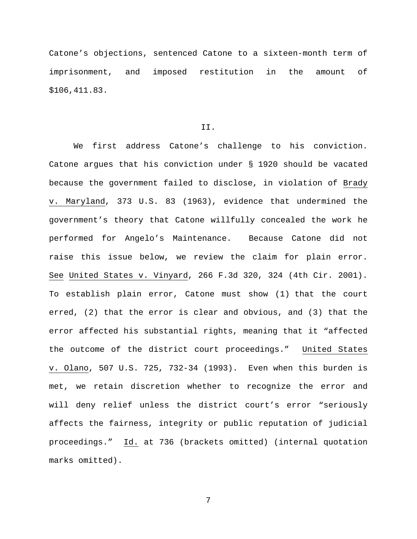Catone's objections, sentenced Catone to a sixteen-month term of imprisonment, and imposed restitution in the amount of \$106,411.83.

# II.

We first address Catone's challenge to his conviction. Catone argues that his conviction under § 1920 should be vacated because the government failed to disclose, in violation of Brady v. Maryland, 373 U.S. 83 (1963), evidence that undermined the government's theory that Catone willfully concealed the work he performed for Angelo's Maintenance. Because Catone did not raise this issue below, we review the claim for plain error. See United States v. Vinyard, 266 F.3d 320, 324 (4th Cir. 2001). To establish plain error, Catone must show (1) that the court erred, (2) that the error is clear and obvious, and (3) that the error affected his substantial rights, meaning that it "affected the outcome of the district court proceedings." United States v. Olano, 507 U.S. 725, 732-34 (1993). Even when this burden is met, we retain discretion whether to recognize the error and will deny relief unless the district court's error "seriously affects the fairness, integrity or public reputation of judicial proceedings." Id. at 736 (brackets omitted) (internal quotation marks omitted).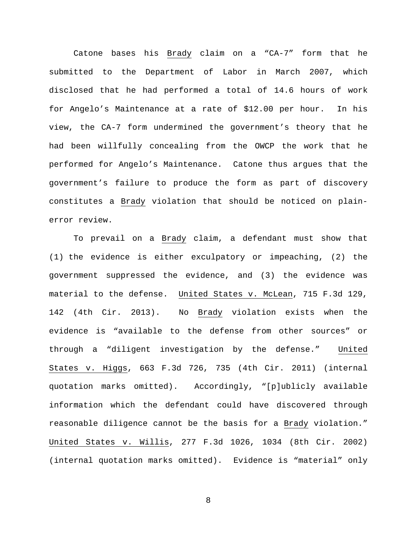Catone bases his Brady claim on a "CA-7" form that he submitted to the Department of Labor in March 2007, which disclosed that he had performed a total of 14.6 hours of work for Angelo's Maintenance at a rate of \$12.00 per hour. In his view, the CA-7 form undermined the government's theory that he had been willfully concealing from the OWCP the work that he performed for Angelo's Maintenance. Catone thus argues that the government's failure to produce the form as part of discovery constitutes a Brady violation that should be noticed on plainerror review.

To prevail on a Brady claim, a defendant must show that (1) the evidence is either exculpatory or impeaching, (2) the government suppressed the evidence, and (3) the evidence was material to the defense. United States v. McLean, 715 F.3d 129, 142 (4th Cir. 2013). No Brady violation exists when the evidence is "available to the defense from other sources" or through a "diligent investigation by the defense." United States v. Higgs, 663 F.3d 726, 735 (4th Cir. 2011) (internal quotation marks omitted). Accordingly, "[p]ublicly available information which the defendant could have discovered through reasonable diligence cannot be the basis for a Brady violation." United States v. Willis, 277 F.3d 1026, 1034 (8th Cir. 2002) (internal quotation marks omitted). Evidence is "material" only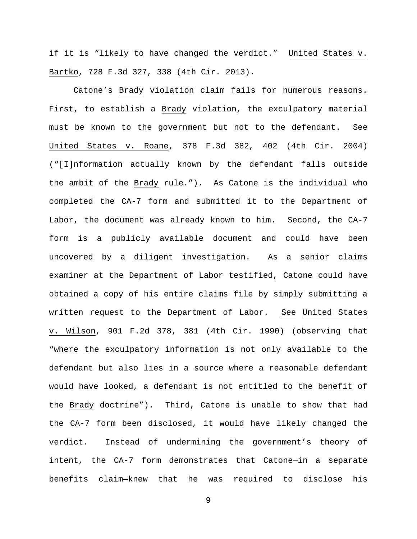if it is "likely to have changed the verdict." United States v. Bartko, 728 F.3d 327, 338 (4th Cir. 2013).

Catone's Brady violation claim fails for numerous reasons. First, to establish a Brady violation, the exculpatory material must be known to the government but not to the defendant. See United States v. Roane, 378 F.3d 382, 402 (4th Cir. 2004) ("[I]nformation actually known by the defendant falls outside the ambit of the Brady rule."). As Catone is the individual who completed the CA-7 form and submitted it to the Department of Labor, the document was already known to him. Second, the CA-7 form is a publicly available document and could have been uncovered by a diligent investigation. As a senior claims examiner at the Department of Labor testified, Catone could have obtained a copy of his entire claims file by simply submitting a written request to the Department of Labor. See United States v. Wilson, 901 F.2d 378, 381 (4th Cir. 1990) (observing that "where the exculpatory information is not only available to the defendant but also lies in a source where a reasonable defendant would have looked, a defendant is not entitled to the benefit of the Brady doctrine"). Third, Catone is unable to show that had the CA-7 form been disclosed, it would have likely changed the verdict. Instead of undermining the government's theory of intent, the CA-7 form demonstrates that Catone—in a separate benefits claim—knew that he was required to disclose his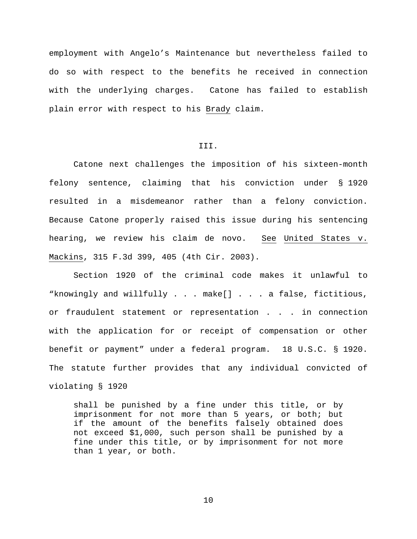employment with Angelo's Maintenance but nevertheless failed to do so with respect to the benefits he received in connection with the underlying charges. Catone has failed to establish plain error with respect to his Brady claim.

# III.

Catone next challenges the imposition of his sixteen-month felony sentence, claiming that his conviction under § 1920 resulted in a misdemeanor rather than a felony conviction. Because Catone properly raised this issue during his sentencing hearing, we review his claim de novo. See United States v. Mackins, 315 F.3d 399, 405 (4th Cir. 2003).

Section 1920 of the criminal code makes it unlawful to "knowingly and willfully . . . make[] . . . a false, fictitious, or fraudulent statement or representation . . . in connection with the application for or receipt of compensation or other benefit or payment" under a federal program. 18 U.S.C. § 1920. The statute further provides that any individual convicted of violating § 1920

shall be punished by a fine under this title, or by imprisonment for not more than 5 years, or both; but if the amount of the benefits falsely obtained does not exceed \$1,000, such person shall be punished by a fine under this title, or by imprisonment for not more than 1 year, or both.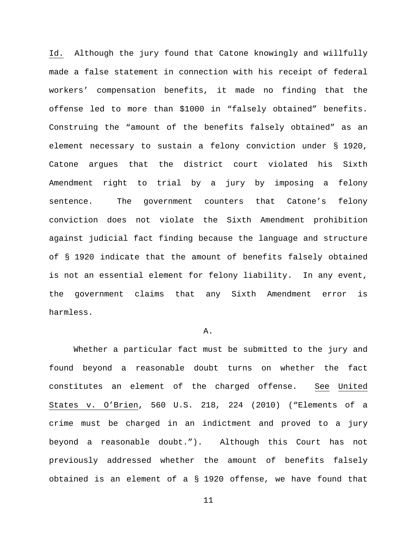Id. Although the jury found that Catone knowingly and willfully made a false statement in connection with his receipt of federal workers' compensation benefits, it made no finding that the offense led to more than \$1000 in "falsely obtained" benefits. Construing the "amount of the benefits falsely obtained" as an element necessary to sustain a felony conviction under § 1920, Catone argues that the district court violated his Sixth Amendment right to trial by a jury by imposing a felony sentence. The government counters that Catone's felony conviction does not violate the Sixth Amendment prohibition against judicial fact finding because the language and structure of § 1920 indicate that the amount of benefits falsely obtained is not an essential element for felony liability. In any event, the government claims that any Sixth Amendment error is harmless.

## A.

Whether a particular fact must be submitted to the jury and found beyond a reasonable doubt turns on whether the fact constitutes an element of the charged offense. See United States v. O'Brien, 560 U.S. 218, 224 (2010) ("Elements of a crime must be charged in an indictment and proved to a jury beyond a reasonable doubt."). Although this Court has not previously addressed whether the amount of benefits falsely obtained is an element of a § 1920 offense, we have found that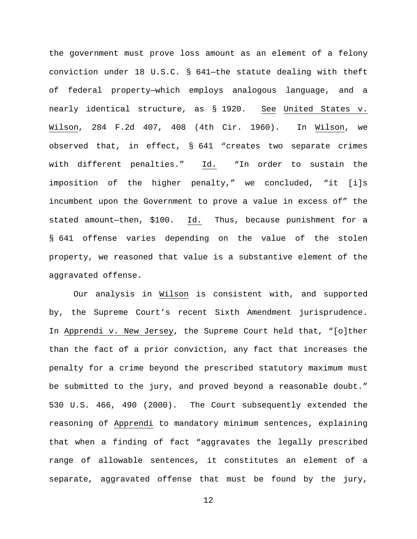the government must prove loss amount as an element of a felony conviction under 18 U.S.C. § 641—the statute dealing with theft of federal property—which employs analogous language, and a nearly identical structure, as § 1920. See United States v. Wilson, 284 F.2d 407, 408 (4th Cir. 1960). In Wilson, we observed that, in effect, § 641 "creates two separate crimes with different penalties." Id. "In order to sustain the imposition of the higher penalty," we concluded, "it [i]s incumbent upon the Government to prove a value in excess of" the stated amount—then, \$100. Id. Thus, because punishment for a § 641 offense varies depending on the value of the stolen property, we reasoned that value is a substantive element of the aggravated offense.

Our analysis in Wilson is consistent with, and supported by, the Supreme Court's recent Sixth Amendment jurisprudence. In Apprendi v. New Jersey, the Supreme Court held that, "[o]ther than the fact of a prior conviction, any fact that increases the penalty for a crime beyond the prescribed statutory maximum must be submitted to the jury, and proved beyond a reasonable doubt." 530 U.S. 466, 490 (2000). The Court subsequently extended the reasoning of Apprendi to mandatory minimum sentences, explaining that when a finding of fact "aggravates the legally prescribed range of allowable sentences, it constitutes an element of a separate, aggravated offense that must be found by the jury,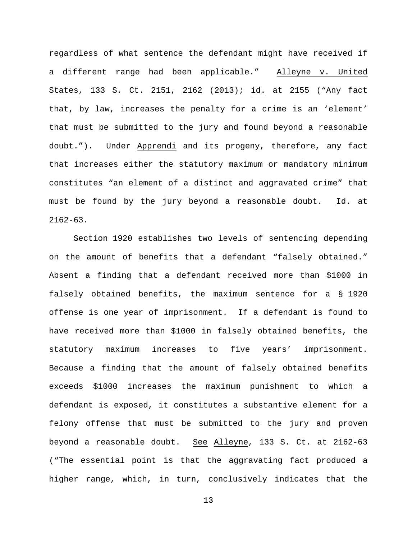regardless of what sentence the defendant might have received if a different range had been applicable." Alleyne v. United States, 133 S. Ct. 2151, 2162 (2013); id. at 2155 ("Any fact that, by law, increases the penalty for a crime is an 'element' that must be submitted to the jury and found beyond a reasonable doubt."). Under Apprendi and its progeny, therefore, any fact that increases either the statutory maximum or mandatory minimum constitutes "an element of a distinct and aggravated crime" that must be found by the jury beyond a reasonable doubt. Id. at  $2162 - 63$ .

Section 1920 establishes two levels of sentencing depending on the amount of benefits that a defendant "falsely obtained." Absent a finding that a defendant received more than \$1000 in falsely obtained benefits, the maximum sentence for a § 1920 offense is one year of imprisonment. If a defendant is found to have received more than \$1000 in falsely obtained benefits, the statutory maximum increases to five years' imprisonment. Because a finding that the amount of falsely obtained benefits exceeds \$1000 increases the maximum punishment to which a defendant is exposed, it constitutes a substantive element for a felony offense that must be submitted to the jury and proven beyond a reasonable doubt. See Alleyne, 133 S. Ct. at 2162-63 ("The essential point is that the aggravating fact produced a higher range, which, in turn, conclusively indicates that the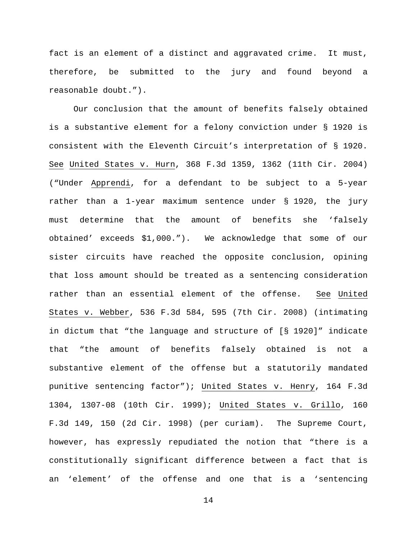fact is an element of a distinct and aggravated crime. It must, therefore, be submitted to the jury and found beyond a reasonable doubt.").

Our conclusion that the amount of benefits falsely obtained is a substantive element for a felony conviction under § 1920 is consistent with the Eleventh Circuit's interpretation of § 1920. See United States v. Hurn, 368 F.3d 1359, 1362 (11th Cir. 2004) ("Under Apprendi, for a defendant to be subject to a 5-year rather than a 1-year maximum sentence under § 1920, the jury must determine that the amount of benefits she 'falsely obtained' exceeds \$1,000."). We acknowledge that some of our sister circuits have reached the opposite conclusion, opining that loss amount should be treated as a sentencing consideration rather than an essential element of the offense. See United States v. Webber, 536 F.3d 584, 595 (7th Cir. 2008) (intimating in dictum that "the language and structure of [§ 1920]" indicate that "the amount of benefits falsely obtained is not a substantive element of the offense but a statutorily mandated punitive sentencing factor"); United States v. Henry, 164 F.3d 1304, 1307-08 (10th Cir. 1999); United States v. Grillo, 160 F.3d 149, 150 (2d Cir. 1998) (per curiam). The Supreme Court, however, has expressly repudiated the notion that "there is a constitutionally significant difference between a fact that is an 'element' of the offense and one that is a 'sentencing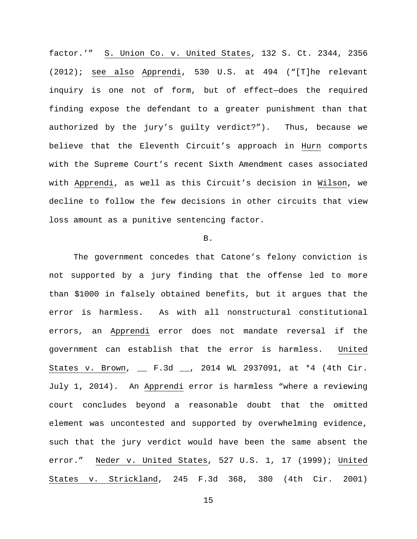factor.'" S. Union Co. v. United States, 132 S. Ct. 2344, 2356 (2012); see also Apprendi, 530 U.S. at 494 ("[T]he relevant inquiry is one not of form, but of effect—does the required finding expose the defendant to a greater punishment than that authorized by the jury's guilty verdict?"). Thus, because we believe that the Eleventh Circuit's approach in Hurn comports with the Supreme Court's recent Sixth Amendment cases associated with Apprendi, as well as this Circuit's decision in Wilson, we decline to follow the few decisions in other circuits that view loss amount as a punitive sentencing factor.

#### B.

The government concedes that Catone's felony conviction is not supported by a jury finding that the offense led to more than \$1000 in falsely obtained benefits, but it argues that the error is harmless. As with all nonstructural constitutional errors, an Apprendi error does not mandate reversal if the government can establish that the error is harmless. United States v. Brown, \_\_ F.3d \_\_, 2014 WL 2937091, at \*4 (4th Cir. July 1, 2014). An Apprendi error is harmless "where a reviewing court concludes beyond a reasonable doubt that the omitted element was uncontested and supported by overwhelming evidence, such that the jury verdict would have been the same absent the error." Neder v. United States, 527 U.S. 1, 17 (1999); United States v. Strickland, 245 F.3d 368, 380 (4th Cir. 2001)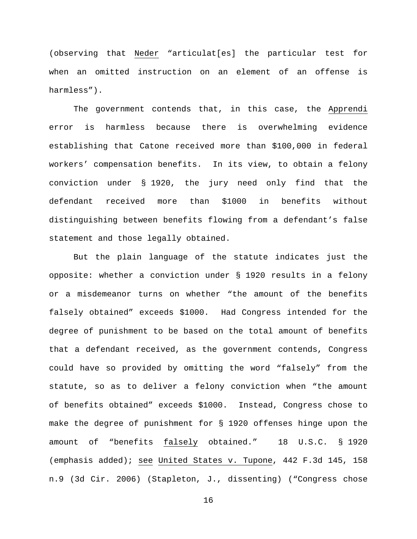(observing that Neder "articulat[es] the particular test for when an omitted instruction on an element of an offense is harmless").

The government contends that, in this case, the Apprendi error is harmless because there is overwhelming evidence establishing that Catone received more than \$100,000 in federal workers' compensation benefits. In its view, to obtain a felony conviction under § 1920, the jury need only find that the defendant received more than \$1000 in benefits without distinguishing between benefits flowing from a defendant's false statement and those legally obtained.

But the plain language of the statute indicates just the opposite: whether a conviction under § 1920 results in a felony or a misdemeanor turns on whether "the amount of the benefits falsely obtained" exceeds \$1000. Had Congress intended for the degree of punishment to be based on the total amount of benefits that a defendant received, as the government contends, Congress could have so provided by omitting the word "falsely" from the statute, so as to deliver a felony conviction when "the amount of benefits obtained" exceeds \$1000. Instead, Congress chose to make the degree of punishment for § 1920 offenses hinge upon the amount of "benefits falsely obtained." 18 U.S.C. § 1920 (emphasis added); see United States v. Tupone, 442 F.3d 145, 158 n.9 (3d Cir. 2006) (Stapleton, J., dissenting) ("Congress chose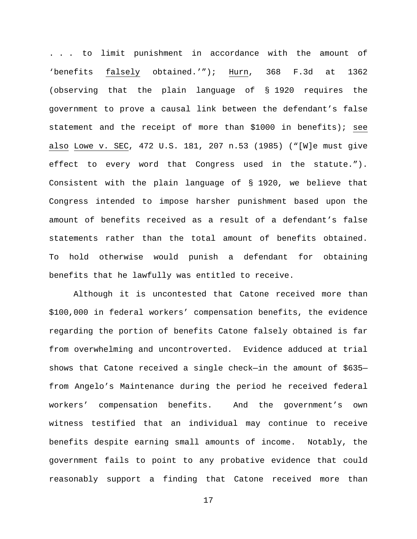. . . to limit punishment in accordance with the amount of 'benefits falsely obtained.'"); Hurn, 368 F.3d at 1362 (observing that the plain language of § 1920 requires the government to prove a causal link between the defendant's false statement and the receipt of more than \$1000 in benefits); see also Lowe v. SEC, 472 U.S. 181, 207 n.53 (1985) ("[W]e must give effect to every word that Congress used in the statute."). Consistent with the plain language of § 1920, we believe that Congress intended to impose harsher punishment based upon the amount of benefits received as a result of a defendant's false statements rather than the total amount of benefits obtained. To hold otherwise would punish a defendant for obtaining benefits that he lawfully was entitled to receive.

Although it is uncontested that Catone received more than \$100,000 in federal workers' compensation benefits, the evidence regarding the portion of benefits Catone falsely obtained is far from overwhelming and uncontroverted. Evidence adduced at trial shows that Catone received a single check—in the amount of \$635 from Angelo's Maintenance during the period he received federal workers' compensation benefits. And the government's own witness testified that an individual may continue to receive benefits despite earning small amounts of income. Notably, the government fails to point to any probative evidence that could reasonably support a finding that Catone received more than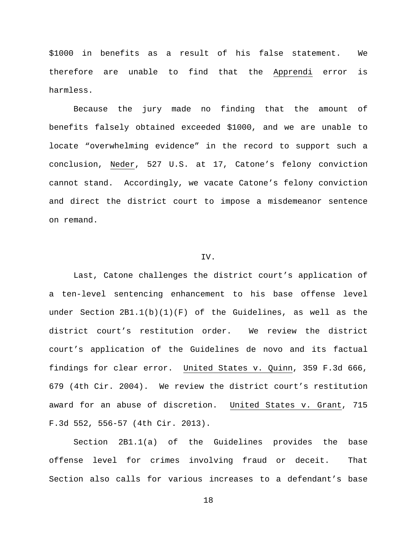\$1000 in benefits as a result of his false statement. We therefore are unable to find that the Apprendi error is harmless.

Because the jury made no finding that the amount of benefits falsely obtained exceeded \$1000, and we are unable to locate "overwhelming evidence" in the record to support such a conclusion, Neder, 527 U.S. at 17, Catone's felony conviction cannot stand. Accordingly, we vacate Catone's felony conviction and direct the district court to impose a misdemeanor sentence on remand.

## IV.

Last, Catone challenges the district court's application of a ten-level sentencing enhancement to his base offense level under Section  $2B1.1(b)(1)(F)$  of the Guidelines, as well as the district court's restitution order. We review the district court's application of the Guidelines de novo and its factual findings for clear error. United States v. Quinn, 359 F.3d 666, 679 (4th Cir. 2004). We review the district court's restitution award for an abuse of discretion. United States v. Grant, 715 F.3d 552, 556-57 (4th Cir. 2013).

Section 2B1.1(a) of the Guidelines provides the base offense level for crimes involving fraud or deceit. That Section also calls for various increases to a defendant's base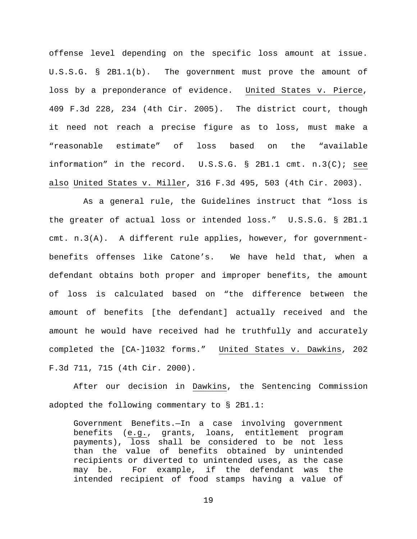offense level depending on the specific loss amount at issue. U.S.S.G. § 2B1.1(b). The government must prove the amount of loss by a preponderance of evidence. United States v. Pierce, 409 F.3d 228, 234 (4th Cir. 2005). The district court, though it need not reach a precise figure as to loss, must make a "reasonable estimate" of loss based on the "available information" in the record. U.S.S.G. § 2B1.1 cmt. n.3(C); see also United States v. Miller, 316 F.3d 495, 503 (4th Cir. 2003).

 As a general rule, the Guidelines instruct that "loss is the greater of actual loss or intended loss." U.S.S.G. § 2B1.1 cmt. n.3(A). A different rule applies, however, for governmentbenefits offenses like Catone's. We have held that, when a defendant obtains both proper and improper benefits, the amount of loss is calculated based on "the difference between the amount of benefits [the defendant] actually received and the amount he would have received had he truthfully and accurately completed the [CA-]1032 forms." United States v. Dawkins, 202 F.3d 711, 715 (4th Cir. 2000).

After our decision in Dawkins, the Sentencing Commission adopted the following commentary to § 2B1.1:

Government Benefits.—In a case involving government benefits (e.g., grants, loans, entitlement program payments), loss shall be considered to be not less than the value of benefits obtained by unintended recipients or diverted to unintended uses, as the case may be. For example, if the defendant was the intended recipient of food stamps having a value of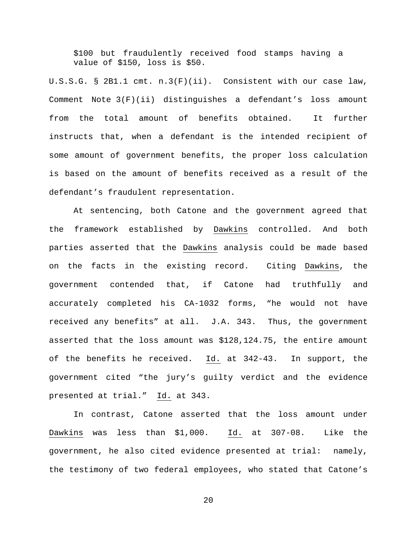\$100 but fraudulently received food stamps having a value of \$150, loss is \$50.

U.S.S.G. § 2B1.1 cmt. n.3(F)(ii). Consistent with our case law, Comment Note 3(F)(ii) distinguishes a defendant's loss amount from the total amount of benefits obtained. It further instructs that, when a defendant is the intended recipient of some amount of government benefits, the proper loss calculation is based on the amount of benefits received as a result of the defendant's fraudulent representation.

At sentencing, both Catone and the government agreed that the framework established by Dawkins controlled. And both parties asserted that the Dawkins analysis could be made based on the facts in the existing record. Citing Dawkins, the government contended that, if Catone had truthfully and accurately completed his CA-1032 forms, "he would not have received any benefits" at all. J.A. 343. Thus, the government asserted that the loss amount was \$128,124.75, the entire amount of the benefits he received. Id. at 342-43. In support, the government cited "the jury's guilty verdict and the evidence presented at trial." Id. at 343.

In contrast, Catone asserted that the loss amount under Dawkins was less than \$1,000. Id. at 307-08. Like the government, he also cited evidence presented at trial: namely, the testimony of two federal employees, who stated that Catone's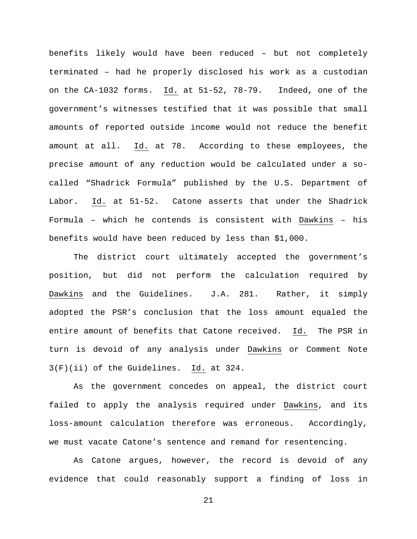benefits likely would have been reduced – but not completely terminated – had he properly disclosed his work as a custodian on the CA-1032 forms. Id. at 51-52, 78-79. Indeed, one of the government's witnesses testified that it was possible that small amounts of reported outside income would not reduce the benefit amount at all. Id. at 78. According to these employees, the precise amount of any reduction would be calculated under a socalled "Shadrick Formula" published by the U.S. Department of Labor. Id. at 51-52. Catone asserts that under the Shadrick Formula – which he contends is consistent with Dawkins – his benefits would have been reduced by less than \$1,000.

The district court ultimately accepted the government's position, but did not perform the calculation required by Dawkins and the Guidelines. J.A. 281. Rather, it simply adopted the PSR's conclusion that the loss amount equaled the entire amount of benefits that Catone received. Id. The PSR in turn is devoid of any analysis under Dawkins or Comment Note 3(F)(ii) of the Guidelines. Id. at 324.

As the government concedes on appeal, the district court failed to apply the analysis required under Dawkins, and its loss-amount calculation therefore was erroneous. Accordingly, we must vacate Catone's sentence and remand for resentencing.

As Catone argues, however, the record is devoid of any evidence that could reasonably support a finding of loss in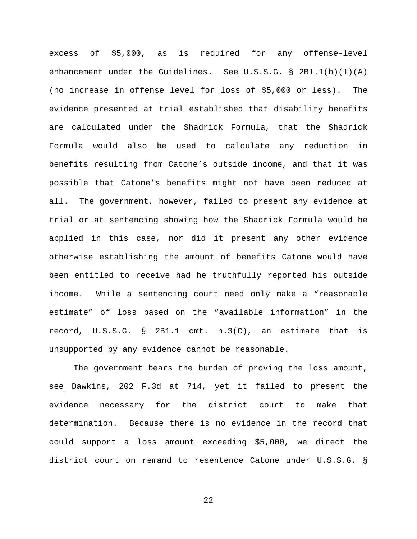excess of \$5,000, as is required for any offense-level enhancement under the Guidelines. See U.S.S.G.  $\S$  2B1.1(b)(1)(A) (no increase in offense level for loss of \$5,000 or less). The evidence presented at trial established that disability benefits are calculated under the Shadrick Formula, that the Shadrick Formula would also be used to calculate any reduction in benefits resulting from Catone's outside income, and that it was possible that Catone's benefits might not have been reduced at all. The government, however, failed to present any evidence at trial or at sentencing showing how the Shadrick Formula would be applied in this case, nor did it present any other evidence otherwise establishing the amount of benefits Catone would have been entitled to receive had he truthfully reported his outside income. While a sentencing court need only make a "reasonable estimate" of loss based on the "available information" in the record,  $U.S.S.G. \S$  2B1.1 cmt.  $n.3(C)$ , an estimate that is unsupported by any evidence cannot be reasonable.

The government bears the burden of proving the loss amount, see Dawkins, 202 F.3d at 714, yet it failed to present the evidence necessary for the district court to make that determination. Because there is no evidence in the record that could support a loss amount exceeding \$5,000, we direct the district court on remand to resentence Catone under U.S.S.G. §